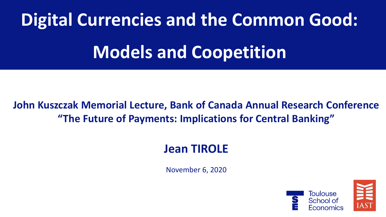# **Digital Currencies and the Common Good:**

# **Models and Coopetition**

### **John Kuszczak Memorial Lecture, Bank of Canada Annual Research Conference "The Future of Payments: Implications for Central Banking"**

# **Jean TIROLE**

November 6, 2020



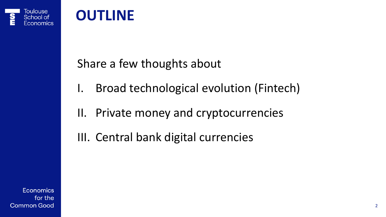

## Share a few thoughts about

- I. Broad technological evolution (Fintech)
- II. Private money and cryptocurrencies
- III. Central bank digital currencies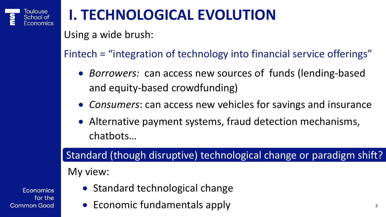

# **I. TECHNOLOGICAL EVOLUTION**

Using a wide brush:

Fintech = "integration of technology into financial service offerings"

- *Borrowers:* can access new sources of funds (lending-based and equity-based crowdfunding)
- *Consumers*: can access new vehicles for savings and insurance
- Alternative payment systems, fraud detection mechanisms, chatbots…

#### Standard (though disruptive) technological change or paradigm shift?

#### My view:

- Standard technological change
- Economic fundamentals apply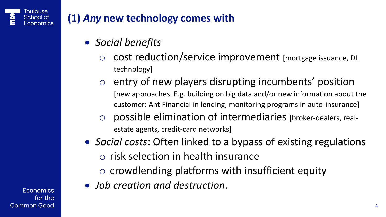

#### **(1)** *Any* **new technology comes with**

- *Social benefits*
	- o cost reduction/service improvement [mortgage issuance, DL technology]
	- o entry of new players disrupting incumbents' position [new approaches. E.g. building on big data and/or new information about the customer: Ant Financial in lending, monitoring programs in auto-insurance]
	- o possible elimination of intermediaries [broker-dealers, realestate agents, credit-card networks]
- *Social costs*: Often linked to a bypass of existing regulations o risk selection in health insurance
	- o crowdlending platforms with insufficient equity
- *Job creation and destruction*.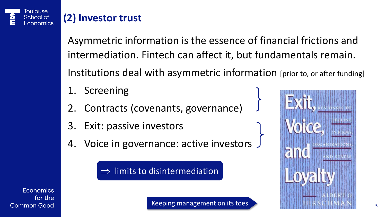

## **(2) Investor trust**

Asymmetric information is the essence of financial frictions and intermediation. Fintech can affect it, but fundamentals remain. Institutions deal with asymmetric information [prior to, or after funding]

- 1. Screening
- 2. Contracts (covenants, governance)
- 3. Exit: passive investors
- 4. Voice in governance: active investors

 $\Rightarrow$  limits to disintermediation



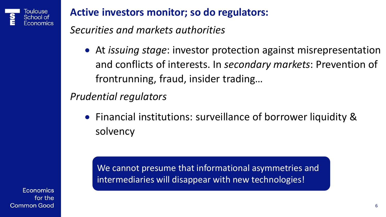

#### **Active investors monitor; so do regulators:**

*Securities and markets authorities*

• At *issuing stage*: investor protection against misrepresentation and conflicts of interests. In *secondary markets*: Prevention of frontrunning, fraud, insider trading…

*Prudential regulators*

• Financial institutions: surveillance of borrower liquidity & solvency

We cannot presume that informational asymmetries and intermediaries will disappear with new technologies!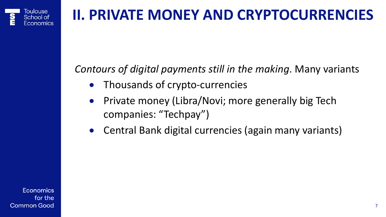# **II. PRIVATE MONEY AND CRYPTOCURRENCIES**

#### *Contours of digital payments still in the making*. Many variants

- Thousands of crypto-currencies
- Private money (Libra/Novi; more generally big Tech companies: "Techpay")
- Central Bank digital currencies (again many variants)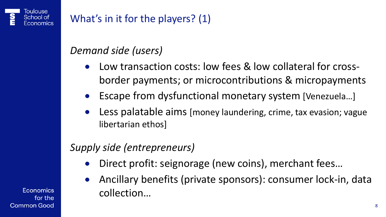### What's in it for the players? (1)

#### *Demand side (users)*

- Low transaction costs: low fees & low collateral for crossborder payments; or microcontributions & micropayments
- Escape from dysfunctional monetary system [Venezuela…]
- Less palatable aims [money laundering, crime, tax evasion; vague libertarian ethos]

#### *Supply side (entrepreneurs)*

- Direct profit: seignorage (new coins), merchant fees...
- Ancillary benefits (private sponsors): consumer lock-in, data collection…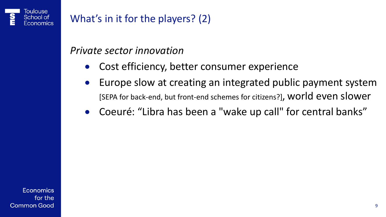### What's in it for the players? (2)

#### *Private sector innovation*

- Cost efficiency, better consumer experience
- Europe slow at creating an integrated public payment system [SEPA for back-end, but front-end schemes for citizens?], world even slower
- Coeuré: "Libra has been a "wake up call" for central banks"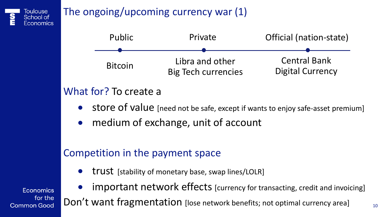

### The ongoing/upcoming currency war (1)



#### What for? To create a

- store of value [need not be safe, except if wants to enjoy safe-asset premium]
- medium of exchange, unit of account

#### Competition in the payment space

• trust [stability of monetary base, swap lines/LOLR]

**Economics** for the **Common Good**  important network effects [currency for transacting, credit and invoicing]

Don't want fragmentation [lose network benefits; not optimal currency area]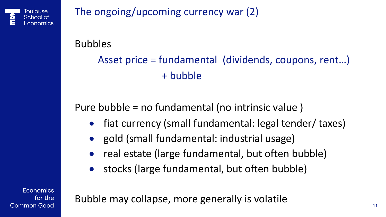

The ongoing/upcoming currency war (2)

#### Bubbles

Asset price = fundamental (dividends, coupons, rent…) + bubble

### Pure bubble = no fundamental (no intrinsic value )

- fiat currency (small fundamental: legal tender/ taxes)
- gold (small fundamental: industrial usage)
- real estate (large fundamental, but often bubble)
- stocks (large fundamental, but often bubble)

**Economics** for the **Common Good** 

Bubble may collapse, more generally is volatile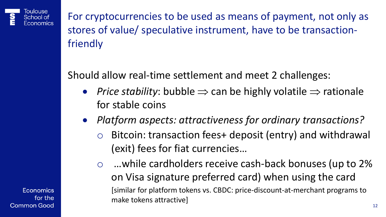

For cryptocurrencies to be used as means of payment, not only as stores of value/ speculative instrument, have to be transactionfriendly

Should allow real-time settlement and meet 2 challenges:

- *Price stability*: bubble  $\Rightarrow$  can be highly volatile  $\Rightarrow$  rationale for stable coins
- *Platform aspects: attractiveness for ordinary transactions?*
	- Bitcoin: transaction fees+ deposit (entry) and withdrawal (exit) fees for fiat currencies…
	- ... while cardholders receive cash-back bonuses (up to 2%) on Visa signature preferred card) when using the card [similar for platform tokens vs. CBDC: price-discount-at-merchant programs to make tokens attractive]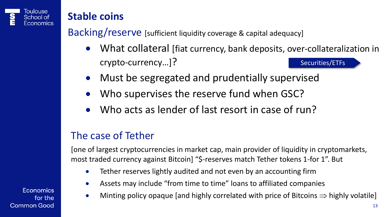

#### **Stable coins**

Backing/reserve [sufficient liquidity coverage & capital adequacy]

- What collateral [fiat currency, bank deposits, over-collateralization in crypto-currency…]? [Securities/ETFs](#page-29-0)
- Must be segregated and prudentially supervised
- Who supervises the reserve fund when GSC?
- Who acts as lender of last resort in case of run?

#### The case of Tether

[one of largest cryptocurrencies in market cap, main provider of liquidity in cryptomarkets, most traded currency against Bitcoin] "\$-reserves match Tether tokens 1-for 1". But

- Tether reserves lightly audited and not even by an accounting firm
- Assets may include "from time to time" loans to affiliated companies
- Minting policy opaque [and highly correlated with price of Bitcoins  $\Rightarrow$  highly volatile]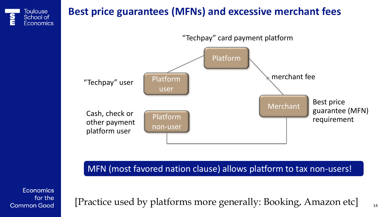

Cash, check or other payment platform user

Best price guarantee (MFN) requirement Platform non-user Merchant

MFN (most favored nation clause) allows platform to tax non-users!

**Economics** for the **Common Good** 

[Practice used by platforms more generally: Booking, Amazon etc]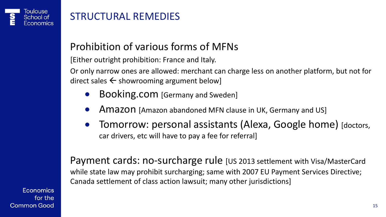#### STRUCTURAL REMEDIES

#### Prohibition of various forms of MFNs

[Either outright prohibition: France and Italy.

Or only narrow ones are allowed: merchant can charge less on another platform, but not for direct sales  $\leftarrow$  showrooming argument below]

- Booking.com [Germany and Sweden]
- Amazon [Amazon abandoned MFN clause in UK, Germany and US]
- Tomorrow: personal assistants (Alexa, Google home) [doctors, car drivers, etc will have to pay a fee for referral]

Payment cards: no-surcharge rule [US 2013 settlement with Visa/MasterCard while state law may prohibit surcharging; same with 2007 EU Payment Services Directive; Canada settlement of class action lawsuit; many other jurisdictions]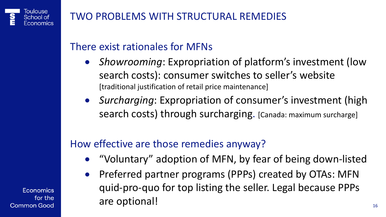#### TWO PROBLEMS WITH STRUCTURAL REMEDIES

#### There exist rationales for MFNs

- *Showrooming*: Expropriation of platform's investment (low search costs): consumer switches to seller's website [traditional justification of retail price maintenance]
- *Surcharging*: Expropriation of consumer's investment (high search costs) through surcharging. [Canada: maximum surcharge]

### How effective are those remedies anyway?

- "Voluntary" adoption of MFN, by fear of being down-listed
- Preferred partner programs (PPPs) created by OTAs: MFN quid-pro-quo for top listing the seller. Legal because PPPs are optional!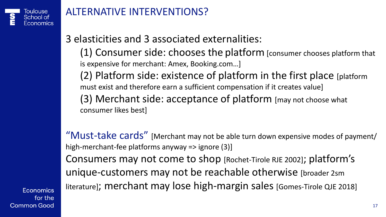

#### ALTERNATIVE INTERVENTIONS?

#### 3 elasticities and 3 associated externalities:

(1) Consumer side: chooses the platform [consumer chooses platform that is expensive for merchant: Amex, Booking.com…]

(2) Platform side: existence of platform in the first place [platform must exist and therefore earn a sufficient compensation if it creates value] (3) Merchant side: acceptance of platform [may not choose what consumer likes best]

"Must-take cards" [Merchant may not be able turn down expensive modes of payment/ high-merchant-fee platforms anyway => ignore (3)] Consumers may not come to shop [Rochet-Tirole RJE 2002]; platform's unique-customers may not be reachable otherwise [broader 2sm literature]; merchant may lose high-margin sales [Gomes-Tirole QJE 2018]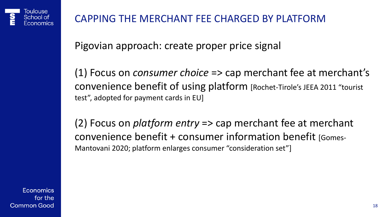#### CAPPING THE MERCHANT FEE CHARGED BY PLATFORM

Pigovian approach: create proper price signal

(1) Focus on *consumer choice* => cap merchant fee at merchant's convenience benefit of using platform [Rochet-Tirole's JEEA 2011 "tourist test", adopted for payment cards in EU]

(2) Focus on *platform entry* => cap merchant fee at merchant convenience benefit + consumer information benefit [Gomes-Mantovani 2020; platform enlarges consumer "consideration set"]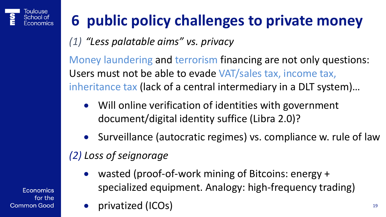

# **6 public policy challenges to private money**

*(1) "Less palatable aims" vs. privacy* 

Money laundering and terrorism financing are not only questions: Users must not be able to evade VAT/sales tax, income tax, inheritance tax (lack of a central intermediary in a DLT system)…

- Will online verification of identities with government document/digital identity suffice (Libra 2.0)?
- Surveillance (autocratic regimes) vs. compliance w. rule of law

# *(2) Loss of seignorage*

- wasted (proof-of-work mining of Bitcoins: energy + specialized equipment. Analogy: high-frequency trading)
- privatized (ICOs)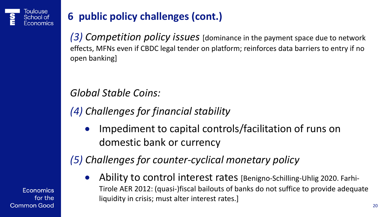

### **6 public policy challenges (cont.)**

*(3) Competition policy issues* [dominance in the payment space due to network effects, MFNs even if CBDC legal tender on platform; reinforces data barriers to entry if no open banking]

*Global Stable Coins:*

*(4) Challenges for financial stability*

Impediment to capital controls/facilitation of runs on domestic bank or currency

*(5) Challenges for counter-cyclical monetary policy*

• Ability to control interest rates [Benigno-Schilling-Uhlig 2020. Farhi-Tirole AER 2012: (quasi-)fiscal bailouts of banks do not suffice to provide adequate liquidity in crisis; must alter interest rates.]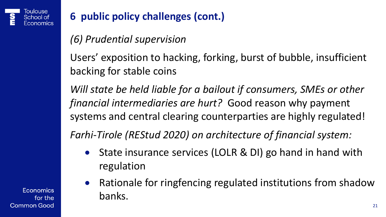

### **6 public policy challenges (cont.)**

*(6) Prudential supervision* 

Users' exposition to hacking, forking, burst of bubble, insufficient backing for stable coins

*Will state be held liable for a bailout if consumers, SMEs or other financial intermediaries are hurt?* Good reason why payment systems and central clearing counterparties are highly regulated!

*Farhi-Tirole (REStud 2020) on architecture of financial system:*

- State insurance services (LOLR & DI) go hand in hand with regulation
- Rationale for ringfencing regulated institutions from shadow banks.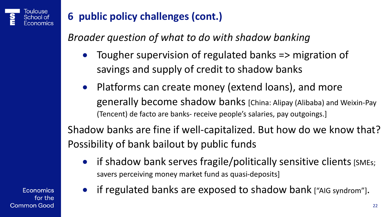

## **6 public policy challenges (cont.)**

*Broader question of what to do with shadow banking*

- Tougher supervision of regulated banks => migration of savings and supply of credit to shadow banks
- Platforms can create money (extend loans), and more generally become shadow banks [China: Alipay (Alibaba) and Weixin-Pay (Tencent) de facto are banks- receive people's salaries, pay outgoings.]

Shadow banks are fine if well-capitalized. But how do we know that? Possibility of bank bailout by public funds

• if shadow bank serves fragile/politically sensitive clients [SMEs; savers perceiving money market fund as quasi-deposits]

**Economics** for the **Common Good**  • if regulated banks are exposed to shadow bank ["AIG syndrom"].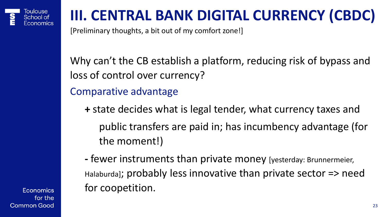

# **III. CENTRAL BANK DIGITAL CURRENCY (CBDC)**

[Preliminary thoughts, a bit out of my comfort zone!]

Why can't the CB establish a platform, reducing risk of bypass and loss of control over currency?

Comparative advantage

- **+** state decides what is legal tender, what currency taxes and public transfers are paid in; has incumbency advantage (for the moment!)
- **-** fewer instruments than private money [yesterday: Brunnermeier, Halaburda]; probably less innovative than private sector => need for coopetition.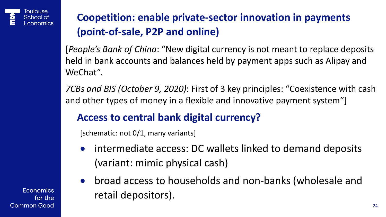

### **Coopetition: enable private-sector innovation in payments (point-of-sale, P2P and online)**

[*People's Bank of China*: "New digital currency is not meant to replace deposits held in bank accounts and balances held by payment apps such as Alipay and WeChat".

*7CBs and BIS (October 9, 2020)*: First of 3 key principles: "Coexistence with cash and other types of money in a flexible and innovative payment system"]

#### **Access to central bank digital currency?**

[schematic: not 0/1, many variants]

- intermediate access: DC wallets linked to demand deposits (variant: mimic physical cash)
- broad access to households and non-banks (wholesale and retail depositors).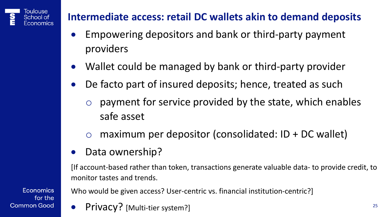#### Toulouse School of

#### **Intermediate access: retail DC wallets akin to demand deposits**

- Empowering depositors and bank or third-party payment providers
- Wallet could be managed by bank or third-party provider
- De facto part of insured deposits; hence, treated as such
	- payment for service provided by the state, which enables safe asset
	- o maximum per depositor (consolidated: ID + DC wallet)
- Data ownership?

[If account-based rather than token, transactions generate valuable data- to provide credit, to monitor tastes and trends.

Who would be given access? User-centric vs. financial institution-centric?]

• Privacy? [Multi-tier system?]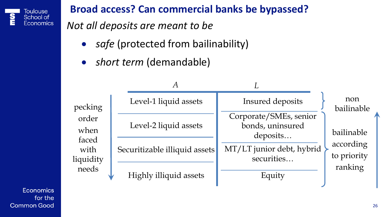

#### **Broad access? Can commercial banks be bypassed?**

*Not all deposits are meant to be*

- safe (protected from bailinability)
- *short term* (demandable)

| pecking<br>order<br>when<br>faced<br>with<br>liquidity<br>needs |  | Level-1 liquid assets         | Insured deposits                                       | non<br>bailinable<br>bailinable<br>according<br>to priority<br>ranking |
|-----------------------------------------------------------------|--|-------------------------------|--------------------------------------------------------|------------------------------------------------------------------------|
|                                                                 |  | Level-2 liquid assets         | Corporate/SMEs, senior<br>bonds, uninsured<br>deposits |                                                                        |
|                                                                 |  | Securitizable illiquid assets | MT/LT junior debt, hybrid<br>securities                |                                                                        |
|                                                                 |  | Highly illiquid assets        | Equity                                                 |                                                                        |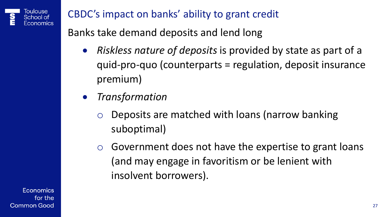

CBDC's impact on banks' ability to grant credit

Banks take demand deposits and lend long

- *Riskless nature of deposits* is provided by state as part of a quid-pro-quo (counterparts = regulation, deposit insurance premium)
- *Transformation*
	- Deposits are matched with loans (narrow banking suboptimal)
	- o Government does not have the expertise to grant loans (and may engage in favoritism or be lenient with insolvent borrowers).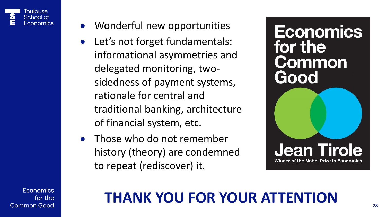

- Wonderful new opportunities
- Let's not forget fundamentals: informational asymmetries and delegated monitoring, twosidedness of payment systems, rationale for central and traditional banking, architecture of financial system, etc.
- Those who do not remember history (theory) are condemned to repeat (rediscover) it.

**Economics** for the **Common** Good

**Jean Tirole** 

Winner of the Nobel Prize in Economics

**Economics** for the **Common Good** 

# **THANK YOU FOR YOUR ATTENTION**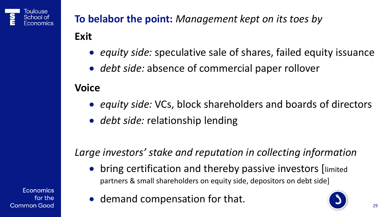<span id="page-28-0"></span>

# **To belabor the point:** *Management kept on its toes by*

#### **Exit**

- *equity side:* speculative sale of shares, failed equity issuance
- *debt side:* absence of commercial paper rollover

#### **Voice**

- *equity side:* VCs, block shareholders and boards of directors
- *debt side:* relationship lending

*Large investors' stake and reputation in collecting information* 

• bring certification and thereby passive investors [limited partners & small shareholders on equity side, depositors on debt side]

Economics for the **Common Good** 

• demand compensation for that.